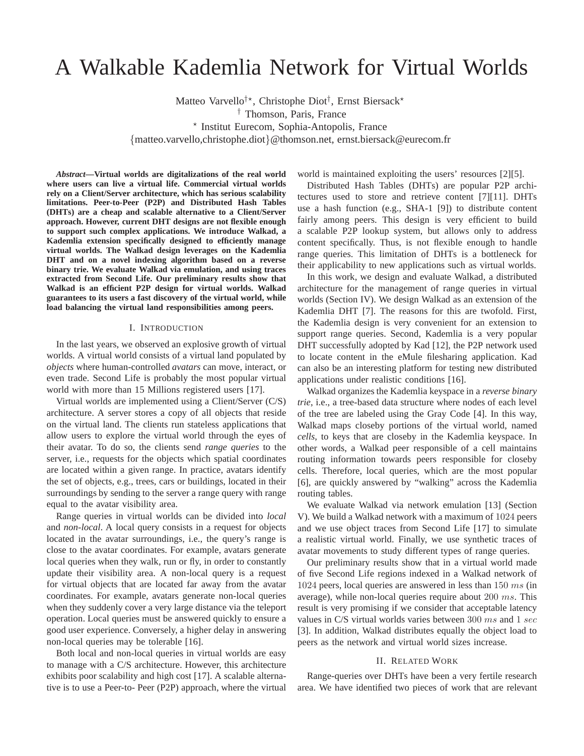# A Walkable Kademlia Network for Virtual Worlds

Matteo Varvello<sup>†\*</sup>, Christophe Diot<sup>†</sup>, Ernst Biersack<sup>\*</sup> † Thomson, Paris, France ⋆ Institut Eurecom, Sophia-Antopolis, France {matteo.varvello,christophe.diot}@thomson.net, ernst.biersack@eurecom.fr

*Abstract***—Virtual worlds are digitalizations of the real world where users can live a virtual life. Commercial virtual worlds rely on a Client/Server architecture, which has serious scalability limitations. Peer-to-Peer (P2P) and Distributed Hash Tables (DHTs) are a cheap and scalable alternative to a Client/Server approach. However, current DHT designs are not flexible enough to support such complex applications. We introduce Walkad, a Kademlia extension specifically designed to efficiently manage virtual worlds. The Walkad design leverages on the Kademlia DHT and on a novel indexing algorithm based on a reverse binary trie. We evaluate Walkad via emulation, and using traces extracted from Second Life. Our preliminary results show that Walkad is an efficient P2P design for virtual worlds. Walkad guarantees to its users a fast discovery of the virtual world, while load balancing the virtual land responsibilities among peers.**

#### I. INTRODUCTION

In the last years, we observed an explosive growth of virtual worlds. A virtual world consists of a virtual land populated by *objects* where human-controlled *avatars* can move, interact, or even trade. Second Life is probably the most popular virtual world with more than 15 Millions registered users [17].

Virtual worlds are implemented using a Client/Server (C/S) architecture. A server stores a copy of all objects that reside on the virtual land. The clients run stateless applications that allow users to explore the virtual world through the eyes of their avatar. To do so, the clients send *range queries* to the server, i.e., requests for the objects which spatial coordinates are located within a given range. In practice, avatars identify the set of objects, e.g., trees, cars or buildings, located in their surroundings by sending to the server a range query with range equal to the avatar visibility area.

Range queries in virtual worlds can be divided into *local* and *non-local*. A local query consists in a request for objects located in the avatar surroundings, i.e., the query's range is close to the avatar coordinates. For example, avatars generate local queries when they walk, run or fly, in order to constantly update their visibility area. A non-local query is a request for virtual objects that are located far away from the avatar coordinates. For example, avatars generate non-local queries when they suddenly cover a very large distance via the teleport operation. Local queries must be answered quickly to ensure a good user experience. Conversely, a higher delay in answering non-local queries may be tolerable [16].

Both local and non-local queries in virtual worlds are easy to manage with a C/S architecture. However, this architecture exhibits poor scalability and high cost [17]. A scalable alternative is to use a Peer-to- Peer (P2P) approach, where the virtual

world is maintained exploiting the users' resources [2][5].

Distributed Hash Tables (DHTs) are popular P2P architectures used to store and retrieve content [7][11]. DHTs use a hash function (e.g., SHA-1 [9]) to distribute content fairly among peers. This design is very efficient to build a scalable P2P lookup system, but allows only to address content specifically. Thus, is not flexible enough to handle range queries. This limitation of DHTs is a bottleneck for their applicability to new applications such as virtual worlds.

In this work, we design and evaluate Walkad, a distributed architecture for the management of range queries in virtual worlds (Section IV). We design Walkad as an extension of the Kademlia DHT [7]. The reasons for this are twofold. First, the Kademlia design is very convenient for an extension to support range queries. Second, Kademlia is a very popular DHT successfully adopted by Kad [12], the P2P network used to locate content in the eMule filesharing application. Kad can also be an interesting platform for testing new distributed applications under realistic conditions [16].

Walkad organizes the Kademlia keyspace in a *reverse binary trie*, i.e., a tree-based data structure where nodes of each level of the tree are labeled using the Gray Code [4]. In this way, Walkad maps closeby portions of the virtual world, named *cells*, to keys that are closeby in the Kademlia keyspace. In other words, a Walkad peer responsible of a cell maintains routing information towards peers responsible for closeby cells. Therefore, local queries, which are the most popular [6], are quickly answered by "walking" across the Kademlia routing tables.

We evaluate Walkad via network emulation [13] (Section V). We build a Walkad network with a maximum of 1024 peers and we use object traces from Second Life [17] to simulate a realistic virtual world. Finally, we use synthetic traces of avatar movements to study different types of range queries.

Our preliminary results show that in a virtual world made of five Second Life regions indexed in a Walkad network of 1024 peers, local queries are answered in less than 150 ms (in average), while non-local queries require about 200 ms. This result is very promising if we consider that acceptable latency values in C/S virtual worlds varies between 300 ms and 1 sec [3]. In addition, Walkad distributes equally the object load to peers as the network and virtual world sizes increase.

## II. RELATED WORK

Range-queries over DHTs have been a very fertile research area. We have identified two pieces of work that are relevant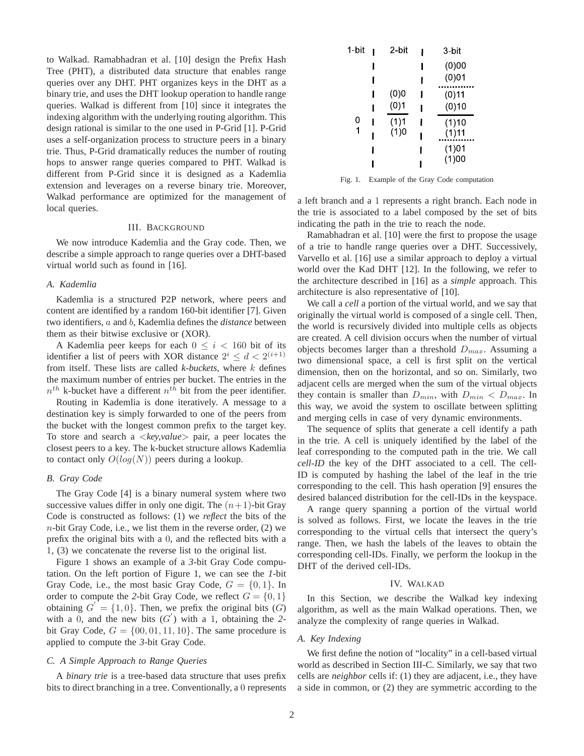to Walkad. Ramabhadran et al. [10] design the Prefix Hash Tree (PHT), a distributed data structure that enables range queries over any DHT. PHT organizes keys in the DHT as a binary trie, and uses the DHT lookup operation to handle range queries. Walkad is different from [10] since it integrates the indexing algorithm with the underlying routing algorithm. This design rational is similar to the one used in P-Grid [1]. P-Grid uses a self-organization process to structure peers in a binary trie. Thus, P-Grid dramatically reduces the number of routing hops to answer range queries compared to PHT. Walkad is different from P-Grid since it is designed as a Kademlia extension and leverages on a reverse binary trie. Moreover, Walkad performance are optimized for the management of local queries.

## III. BACKGROUND

We now introduce Kademlia and the Gray code. Then, we describe a simple approach to range queries over a DHT-based virtual world such as found in [16].

## *A. Kademlia*

Kademlia is a structured P2P network, where peers and content are identified by a random 160-bit identifier [7]. Given two identifiers, a and b, Kademlia defines the *distance* between them as their bitwise exclusive or (XOR).

A Kademlia peer keeps for each  $0 \le i < 160$  bit of its identifier a list of peers with XOR distance  $2^i \leq d < 2^{(i+1)}$ from itself. These lists are called *k-buckets*, where k defines the maximum number of entries per bucket. The entries in the  $n^{th}$  k-bucket have a different  $n^{th}$  bit from the peer identifier.

Routing in Kademlia is done iteratively. A message to a destination key is simply forwarded to one of the peers from the bucket with the longest common prefix to the target key. To store and search a <*key,value*> pair, a peer locates the closest peers to a key. The k-bucket structure allows Kademlia to contact only  $O(log(N))$  peers during a lookup.

## *B. Gray Code*

The Gray Code [4] is a binary numeral system where two successive values differ in only one digit. The  $(n+1)$ -bit Gray Code is constructed as follows: (1) we *reflect* the bits of the  $n$ -bit Gray Code, i.e., we list them in the reverse order,  $(2)$  we prefix the original bits with a 0, and the reflected bits with a 1, (3) we concatenate the reverse list to the original list.

Figure 1 shows an example of a *3*-bit Gray Code computation. On the left portion of Figure 1, we can see the *1*-bit Gray Code, i.e., the most basic Gray Code,  $G = \{0, 1\}$ . In order to compute the 2-bit Gray Code, we reflect  $G = \{0, 1\}$ obtaining  $G' = \{1, 0\}$ . Then, we prefix the original bits  $(G)$ with a 0, and the new bits  $(G')$  with a 1, obtaining the 2bit Gray Code,  $G = \{00, 01, 11, 10\}$ . The same procedure is applied to compute the *3*-bit Gray Code.

## *C. A Simple Approach to Range Queries*

A *binary trie* is a tree-based data structure that uses prefix bits to direct branching in a tree. Conventionally, a 0 represents

| 1-bit  | 2-bit        | 3 bit          |
|--------|--------------|----------------|
|        |              | (0)00          |
|        |              | (0)01          |
|        | (0)0         | (0)11          |
|        | (0)1         | (0)10          |
| 0<br>1 | (1)1<br>(1)0 | (1)10<br>(1)11 |
|        |              | (1)01<br>(1)00 |
|        |              |                |

Fig. 1. Example of the Gray Code computation

a left branch and a 1 represents a right branch. Each node in the trie is associated to a label composed by the set of bits indicating the path in the trie to reach the node.

Ramabhadran et al. [10] were the first to propose the usage of a trie to handle range queries over a DHT. Successively, Varvello et al. [16] use a similar approach to deploy a virtual world over the Kad DHT [12]. In the following, we refer to the architecture described in [16] as a *simple* approach. This architecture is also representative of [10].

We call a *cell* a portion of the virtual world, and we say that originally the virtual world is composed of a single cell. Then, the world is recursively divided into multiple cells as objects are created. A cell division occurs when the number of virtual objects becomes larger than a threshold  $D_{max}$ . Assuming a two dimensional space, a cell is first split on the vertical dimension, then on the horizontal, and so on. Similarly, two adjacent cells are merged when the sum of the virtual objects they contain is smaller than  $D_{min}$ , with  $D_{min} < D_{max}$ . In this way, we avoid the system to oscillate between splitting and merging cells in case of very dynamic environments.

The sequence of splits that generate a cell identify a path in the trie. A cell is uniquely identified by the label of the leaf corresponding to the computed path in the trie. We call *cell-ID* the key of the DHT associated to a cell. The cell-ID is computed by hashing the label of the leaf in the trie corresponding to the cell. This hash operation [9] ensures the desired balanced distribution for the cell-IDs in the keyspace.

A range query spanning a portion of the virtual world is solved as follows. First, we locate the leaves in the trie corresponding to the virtual cells that intersect the query's range. Then, we hash the labels of the leaves to obtain the corresponding cell-IDs. Finally, we perform the lookup in the DHT of the derived cell-IDs.

## IV. WALKAD

In this Section, we describe the Walkad key indexing algorithm, as well as the main Walkad operations. Then, we analyze the complexity of range queries in Walkad.

# *A. Key Indexing*

We first define the notion of "locality" in a cell-based virtual world as described in Section III-C. Similarly, we say that two cells are *neighbor* cells if: (1) they are adjacent, i.e., they have a side in common, or (2) they are symmetric according to the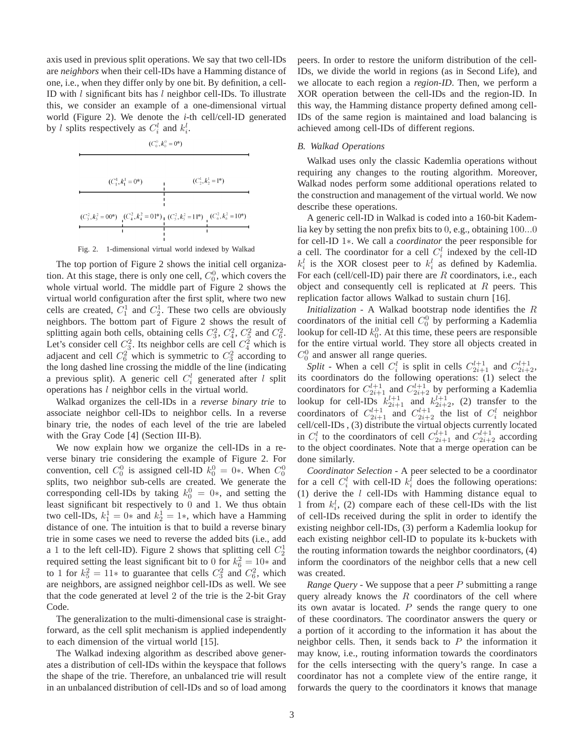axis used in previous split operations. We say that two cell-IDs are *neighbors* when their cell-IDs have a Hamming distance of one, i.e., when they differ only by one bit. By definition, a cell-ID with  $l$  significant bits has  $l$  neighbor cell-IDs. To illustrate this, we consider an example of a one-dimensional virtual world (Figure 2). We denote the *i*-th cell/cell-ID generated by l splits respectively as  $C_i^l$  and  $k_i^l$ .



Fig. 2. 1-dimensional virtual world indexed by Walkad

The top portion of Figure 2 shows the initial cell organization. At this stage, there is only one cell,  $C_0^0$ , which covers the whole virtual world. The middle part of Figure 2 shows the virtual world configuration after the first split, where two new cells are created,  $C_1^1$  and  $C_2^1$ . These two cells are obviously neighbors. The bottom part of Figure 2 shows the result of splitting again both cells, obtaining cells  $C_3^2$ ,  $C_4^2$ ,  $C_5^2$  and  $C_6^2$ . Let's consider cell  $C_3^2$ . Its neighbor cells are cell  $C_4^2$  which is adjacent and cell  $C_6^2$  which is symmetric to  $C_3^2$  according to the long dashed line crossing the middle of the line (indicating a previous split). A generic cell  $C_i^l$  generated after l split operations has l neighbor cells in the virtual world.

Walkad organizes the cell-IDs in a *reverse binary trie* to associate neighbor cell-IDs to neighbor cells. In a reverse binary trie, the nodes of each level of the trie are labeled with the Gray Code [4] (Section III-B).

We now explain how we organize the cell-IDs in a reverse binary trie considering the example of Figure 2. For convention, cell  $C_0^0$  is assigned cell-ID  $k_0^0 = 0$ \*. When  $C_0^0$ splits, two neighbor sub-cells are created. We generate the corresponding cell-IDs by taking  $k_0^0 = 0$ \*, and setting the least significant bit respectively to 0 and 1. We thus obtain two cell-IDs,  $k_1^1 = 0*$  and  $k_2^1 = 1*$ , which have a Hamming distance of one. The intuition is that to build a reverse binary trie in some cases we need to reverse the added bits (i.e., add a 1 to the left cell-ID). Figure 2 shows that splitting cell  $C_2^1$ required setting the least significant bit to 0 for  $k_6^2 = 10*$  and to 1 for  $k_5^2 = 11*$  to guarantee that cells  $C_3^2$  and  $C_6^2$ , which are neighbors, are assigned neighbor cell-IDs as well. We see that the code generated at level 2 of the trie is the 2-bit Gray Code.

The generalization to the multi-dimensional case is straightforward, as the cell split mechanism is applied independently to each dimension of the virtual world [15].

The Walkad indexing algorithm as described above generates a distribution of cell-IDs within the keyspace that follows the shape of the trie. Therefore, an unbalanced trie will result in an unbalanced distribution of cell-IDs and so of load among peers. In order to restore the uniform distribution of the cell-IDs, we divide the world in regions (as in Second Life), and we allocate to each region a *region-ID*. Then, we perform a XOR operation between the cell-IDs and the region-ID. In this way, the Hamming distance property defined among cell-IDs of the same region is maintained and load balancing is achieved among cell-IDs of different regions.

# *B. Walkad Operations*

Walkad uses only the classic Kademlia operations without requiring any changes to the routing algorithm. Moreover, Walkad nodes perform some additional operations related to the construction and management of the virtual world. We now describe these operations.

A generic cell-ID in Walkad is coded into a 160-bit Kademlia key by setting the non prefix bits to 0, e.g., obtaining 100...0 for cell-ID 1∗. We call a *coordinator* the peer responsible for a cell. The coordinator for a cell  $C_i^l$  indexed by the cell-ID  $k_i^l$  is the XOR closest peer to  $k_i^l$  as defined by Kademlia. For each (cell/cell-ID) pair there are  $R$  coordinators, i.e., each object and consequently cell is replicated at  $R$  peers. This replication factor allows Walkad to sustain churn [16].

*Initialization* - A Walkad bootstrap node identifies the R coordinators of the initial cell  $C_0^0$  by performing a Kademlia lookup for cell-ID  $k_0^0$ . At this time, these peers are responsible for the entire virtual world. They store all objects created in  $C_0^0$  and answer all range queries.

*Split* - When a cell  $C_i^l$  is split in cells  $C_{2i+1}^{l+1}$  and  $C_{2i+2}^{l+1}$ , its coordinators do the following operations: (1) select the coordinators for  $C_{2i+1}^{l+1}$  and  $C_{2i+2}^{l+1}$  by performing a Kademlia lookup for cell-IDs  $k_{2i+1}^{l+1}$  and  $k_{2i+2}^{l+1}$ , (2) transfer to the coordinators of  $C_{2i+1}^{l+1}$  and  $C_{2i+2}^{l+1}$  the list of  $C_i^l$  neighbor cell/cell-IDs , (3) distribute the virtual objects currently located in  $C_i^l$  to the coordinators of cell  $C_{2i+1}^{l+1}$  and  $C_{2i+2}^{l+1}$  according to the object coordinates. Note that a merge operation can be done similarly.

*Coordinator Selection* - A peer selected to be a coordinator for a cell  $C_i^l$  with cell-ID  $k_i^l$  does the following operations: (1) derive the  $l$  cell-IDs with Hamming distance equal to 1 from  $k_i^l$ , (2) compare each of these cell-IDs with the list of cell-IDs received during the split in order to identify the existing neighbor cell-IDs, (3) perform a Kademlia lookup for each existing neighbor cell-ID to populate its k-buckets with the routing information towards the neighbor coordinators, (4) inform the coordinators of the neighbor cells that a new cell was created.

*Range Query* - We suppose that a peer P submitting a range query already knows the  $R$  coordinators of the cell where its own avatar is located.  $P$  sends the range query to one of these coordinators. The coordinator answers the query or a portion of it according to the information it has about the neighbor cells. Then, it sends back to  $P$  the information it may know, i.e., routing information towards the coordinators for the cells intersecting with the query's range. In case a coordinator has not a complete view of the entire range, it forwards the query to the coordinators it knows that manage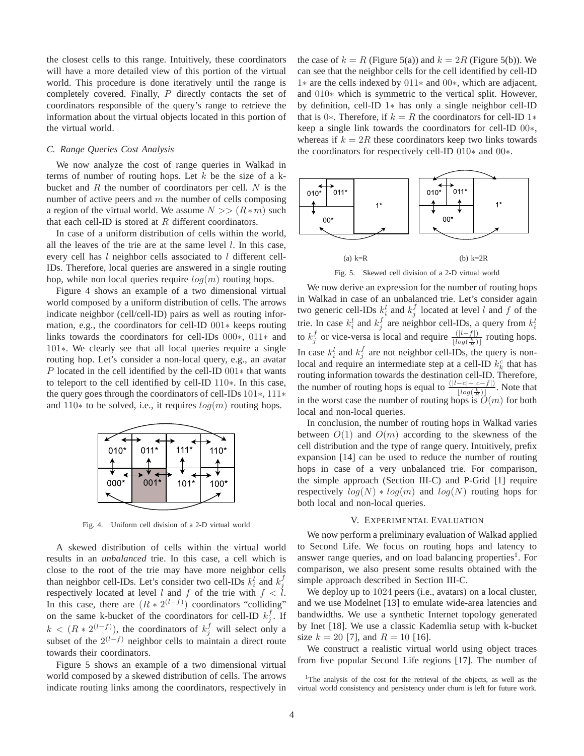the closest cells to this range. Intuitively, these coordinators will have a more detailed view of this portion of the virtual world. This procedure is done iteratively until the range is completely covered. Finally, P directly contacts the set of coordinators responsible of the query's range to retrieve the information about the virtual objects located in this portion of the virtual world.

#### *C. Range Queries Cost Analysis*

We now analyze the cost of range queries in Walkad in terms of number of routing hops. Let  $k$  be the size of a kbucket and  $R$  the number of coordinators per cell.  $N$  is the number of active peers and  $m$  the number of cells composing a region of the virtual world. We assume  $N \gg (R*m)$  such that each cell-ID is stored at  $R$  different coordinators.

In case of a uniform distribution of cells within the world, all the leaves of the trie are at the same level  $l$ . In this case, every cell has *l* neighbor cells associated to *l* different cell-IDs. Therefore, local queries are answered in a single routing hop, while non local queries require  $log(m)$  routing hops.

Figure 4 shows an example of a two dimensional virtual world composed by a uniform distribution of cells. The arrows indicate neighbor (cell/cell-ID) pairs as well as routing information, e.g., the coordinators for cell-ID 001∗ keeps routing links towards the coordinators for cell-IDs 000∗, 011∗ and 101∗. We clearly see that all local queries require a single routing hop. Let's consider a non-local query, e.g., an avatar P located in the cell identified by the cell-ID 001∗ that wants to teleport to the cell identified by cell-ID 110∗. In this case, the query goes through the coordinators of cell-IDs 101∗, 111∗ and 110<sup> $\ast$ </sup> to be solved, i.e., it requires  $log(m)$  routing hops.



Fig. 4. Uniform cell division of a 2-D virtual world

A skewed distribution of cells within the virtual world results in an *unbalanced* trie. In this case, a cell which is close to the root of the trie may have more neighbor cells than neighbor cell-IDs. Let's consider two cell-IDs  $k_i^l$  and  $k_j^f$ respectively located at level l and f of the trie with  $f < l$ . In this case, there are  $(R * 2^{(l-f)})$  coordinators "colliding" on the same k-bucket of the coordinators for cell-ID  $k_j^f$ . If  $k < (R \ast 2^{(l-f)})$ , the coordinators of  $k_j^f$  will select only a subset of the  $2^{(l-f)}$  neighbor cells to maintain a direct route towards their coordinators.

Figure 5 shows an example of a two dimensional virtual world composed by a skewed distribution of cells. The arrows indicate routing links among the coordinators, respectively in the case of  $k = R$  (Figure 5(a)) and  $k = 2R$  (Figure 5(b)). We can see that the neighbor cells for the cell identified by cell-ID 1∗ are the cells indexed by 011∗ and 00∗, which are adjacent, and 010∗ which is symmetric to the vertical split. However, by definition, cell-ID 1∗ has only a single neighbor cell-ID that is 0∗. Therefore, if  $k = R$  the coordinators for cell-ID 1<sup>\*</sup> keep a single link towards the coordinators for cell-ID 00∗, whereas if  $k = 2R$  these coordinators keep two links towards the coordinators for respectively cell-ID 010∗ and 00∗.



Fig. 5. Skewed cell division of a 2-D virtual world

We now derive an expression for the number of routing hops in Walkad in case of an unbalanced trie. Let's consider again two generic cell-IDs  $k_i^l$  and  $k_j^f$  located at level l and f of the trie. In case  $k_i^l$  and  $k_j^f$  are neighbor cell-IDs, a query from  $k_i^l$ to  $k_j^f$  or vice-versa is local and require  $\frac{(|l-f|)}{[log(\frac{k}{R})]}$  routing hops. In case  $k_i^l$  and  $k_j^f$  are not neighbor cell-IDs, the query is nonlocal and require an intermediate step at a cell-ID  $k_k^c$  that has routing information towards the destination cell-ID. Therefore, the number of routing hops is equal to  $\frac{(|l-c|+|c-f|)}{|log(\frac{k}{R})|}$ . Note that in the worst case the number of routing hops is  $O(m)$  for both local and non-local queries.

In conclusion, the number of routing hops in Walkad varies between  $O(1)$  and  $O(m)$  according to the skewness of the cell distribution and the type of range query. Intuitively, prefix expansion [14] can be used to reduce the number of routing hops in case of a very unbalanced trie. For comparison, the simple approach (Section III-C) and P-Grid [1] require respectively  $log(N) * log(m)$  and  $log(N)$  routing hops for both local and non-local queries.

## V. EXPERIMENTAL EVALUATION

We now perform a preliminary evaluation of Walkad applied to Second Life. We focus on routing hops and latency to answer range queries, and on load balancing properties<sup>1</sup>. For comparison, we also present some results obtained with the simple approach described in Section III-C.

We deploy up to 1024 peers (i.e., avatars) on a local cluster, and we use Modelnet [13] to emulate wide-area latencies and bandwidths. We use a synthetic Internet topology generated by Inet [18]. We use a classic Kademlia setup with k-bucket size  $k = 20$  [7], and  $R = 10$  [16].

We construct a realistic virtual world using object traces from five popular Second Life regions [17]. The number of

<sup>&</sup>lt;sup>1</sup>The analysis of the cost for the retrieval of the objects, as well as the virtual world consistency and persistency under churn is left for future work.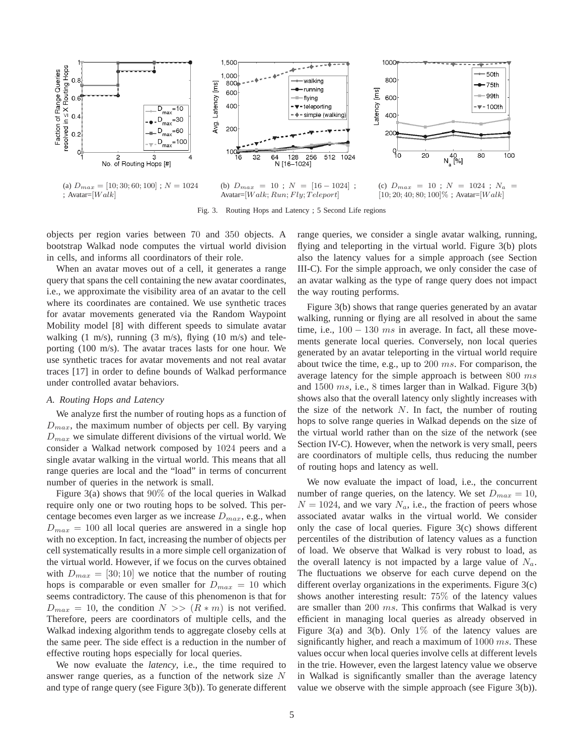

Fig. 3. Routing Hops and Latency ; 5 Second Life regions

objects per region varies between 70 and 350 objects. A bootstrap Walkad node computes the virtual world division in cells, and informs all coordinators of their role.

When an avatar moves out of a cell, it generates a range query that spans the cell containing the new avatar coordinates, i.e., we approximate the visibility area of an avatar to the cell where its coordinates are contained. We use synthetic traces for avatar movements generated via the Random Waypoint Mobility model [8] with different speeds to simulate avatar walking  $(1 \text{ m/s})$ , running  $(3 \text{ m/s})$ , flying  $(10 \text{ m/s})$  and teleporting (100 m/s). The avatar traces lasts for one hour. We use synthetic traces for avatar movements and not real avatar traces [17] in order to define bounds of Walkad performance under controlled avatar behaviors.

#### *A. Routing Hops and Latency*

We analyze first the number of routing hops as a function of  $D_{max}$ , the maximum number of objects per cell. By varying  $D_{max}$  we simulate different divisions of the virtual world. We consider a Walkad network composed by 1024 peers and a single avatar walking in the virtual world. This means that all range queries are local and the "load" in terms of concurrent number of queries in the network is small.

Figure 3(a) shows that  $90\%$  of the local queries in Walkad require only one or two routing hops to be solved. This percentage becomes even larger as we increase  $D_{max}$ , e.g., when  $D_{max} = 100$  all local queries are answered in a single hop with no exception. In fact, increasing the number of objects per cell systematically results in a more simple cell organization of the virtual world. However, if we focus on the curves obtained with  $D_{max} = [30; 10]$  we notice that the number of routing hops is comparable or even smaller for  $D_{max} = 10$  which seems contradictory. The cause of this phenomenon is that for  $D_{max} = 10$ , the condition  $N \gg (R * m)$  is not verified. Therefore, peers are coordinators of multiple cells, and the Walkad indexing algorithm tends to aggregate closeby cells at the same peer. The side effect is a reduction in the number of effective routing hops especially for local queries.

We now evaluate the *latency*, i.e., the time required to answer range queries, as a function of the network size N and type of range query (see Figure 3(b)). To generate different range queries, we consider a single avatar walking, running, flying and teleporting in the virtual world. Figure 3(b) plots also the latency values for a simple approach (see Section III-C). For the simple approach, we only consider the case of an avatar walking as the type of range query does not impact the way routing performs.

Figure 3(b) shows that range queries generated by an avatar walking, running or flying are all resolved in about the same time, i.e.,  $100 - 130$  ms in average. In fact, all these movements generate local queries. Conversely, non local queries generated by an avatar teleporting in the virtual world require about twice the time, e.g., up to  $200$  ms. For comparison, the average latency for the simple approach is between 800 ms and 1500 ms, i.e., 8 times larger than in Walkad. Figure 3(b) shows also that the overall latency only slightly increases with the size of the network  $N$ . In fact, the number of routing hops to solve range queries in Walkad depends on the size of the virtual world rather than on the size of the network (see Section IV-C). However, when the network is very small, peers are coordinators of multiple cells, thus reducing the number of routing hops and latency as well.

We now evaluate the impact of load, i.e., the concurrent number of range queries, on the latency. We set  $D_{max} = 10$ ,  $N = 1024$ , and we vary  $N_a$ , i.e., the fraction of peers whose associated avatar walks in the virtual world. We consider only the case of local queries. Figure 3(c) shows different percentiles of the distribution of latency values as a function of load. We observe that Walkad is very robust to load, as the overall latency is not impacted by a large value of  $N_a$ . The fluctuations we observe for each curve depend on the different overlay organizations in the experiments. Figure 3(c) shows another interesting result: 75% of the latency values are smaller than 200 ms. This confirms that Walkad is very efficient in managing local queries as already observed in Figure 3(a) and 3(b). Only  $1\%$  of the latency values are significantly higher, and reach a maximum of  $1000$  ms. These values occur when local queries involve cells at different levels in the trie. However, even the largest latency value we observe in Walkad is significantly smaller than the average latency value we observe with the simple approach (see Figure 3(b)).